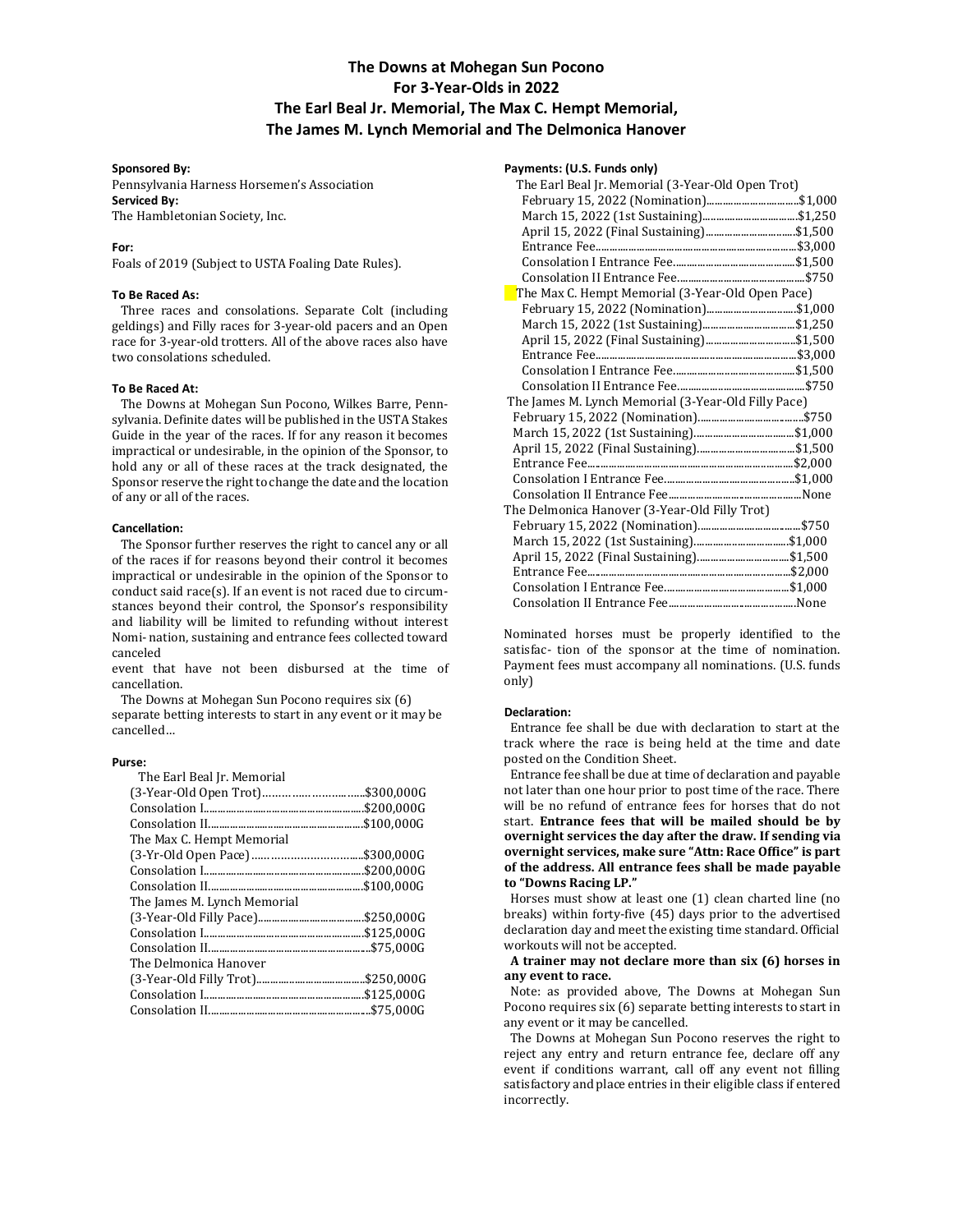# **The Downs at Mohegan Sun Pocono For 3-Year-Olds in 2022 The Earl Beal Jr. Memorial, The Max C. Hempt Memorial, The James M. Lynch Memorial and The Delmonica Hanover**

# **Sponsored By:**

Pennsylvania Harness Horsemen's Association **Serviced By:** The Hambletonian Society, Inc.

# **For:**

Foals of 2019 (Subject to USTA Foaling Date Rules).

### **To Be Raced As:**

 Three races and consolations. Separate Colt (including geldings) and Filly races for 3-year-old pacers and an Open race for 3-year-old trotters. All of the above races also have two consolations scheduled.

# **To Be Raced At:**

 The Downs at Mohegan Sun Pocono, Wilkes Barre, Pennsylvania. Definite dates will be published in the USTA Stakes Guide in the year of the races. If for any reason it becomes impractical or undesirable, in the opinion of the Sponsor, to hold any or all of these races at the track designated, the Sponsor reserve the right to change the date and the location of any or all of the races.

# **Cancellation:**

 The Sponsor further reserves the right to cancel any or all of the races if for reasons beyond their control it becomes impractical or undesirable in the opinion of the Sponsor to conduct said race(s). If an event is not raced due to circumstances beyond their control, the Sponsor's responsibility and liability will be limited to refunding without interest Nomi- nation, sustaining and entrance fees collected toward canceled

event that have not been disbursed at the time of cancellation.

 The Downs at Mohegan Sun Pocono requires six (6) separate betting interests to start in any event or it may be cancelled…

#### **Purse:**

The Earl Beal Ir. Memorial

| (3-Year-Old Open Trot)\$300,000G |             |
|----------------------------------|-------------|
|                                  |             |
|                                  |             |
| The Max C. Hempt Memorial        |             |
|                                  | .\$300.000G |
|                                  | .\$200,000G |
|                                  | .\$100.000G |
| The James M. Lynch Memorial      |             |
|                                  |             |
|                                  |             |
|                                  |             |
| The Delmonica Hanover            |             |
|                                  |             |
|                                  |             |
|                                  |             |
|                                  |             |

| ן צוונט כשווש דוסוס ו                               |  |  |  |
|-----------------------------------------------------|--|--|--|
| The Earl Beal Jr. Memorial (3-Year-Old Open Trot)   |  |  |  |
| February 15, 2022 (Nomination)\$1,000               |  |  |  |
|                                                     |  |  |  |
|                                                     |  |  |  |
|                                                     |  |  |  |
|                                                     |  |  |  |
|                                                     |  |  |  |
| The Max C. Hempt Memorial (3-Year-Old Open Pace)    |  |  |  |
| February 15, 2022 (Nomination)\$1,000               |  |  |  |
|                                                     |  |  |  |
|                                                     |  |  |  |
|                                                     |  |  |  |
|                                                     |  |  |  |
|                                                     |  |  |  |
| The James M. Lynch Memorial (3-Year-Old Filly Pace) |  |  |  |
|                                                     |  |  |  |
|                                                     |  |  |  |
|                                                     |  |  |  |
|                                                     |  |  |  |
|                                                     |  |  |  |
|                                                     |  |  |  |
| The Delmonica Hanover (3-Year-Old Filly Trot)       |  |  |  |
|                                                     |  |  |  |
|                                                     |  |  |  |
|                                                     |  |  |  |
|                                                     |  |  |  |
|                                                     |  |  |  |
|                                                     |  |  |  |
|                                                     |  |  |  |

Nominated horses must be properly identified to the satisfac- tion of the sponsor at the time of nomination. Payment fees must accompany all nominations. (U.S. funds only)

# **Declaration:**

Entrance fee shall be due with declaration to start at the track where the race is being held at the time and date posted on the Condition Sheet.

 Entrance fee shall be due at time of declaration and payable not later than one hour prior to post time of the race. There will be no refund of entrance fees for horses that do not start. **Entrance fees that will be mailed should be by overnight services the day after the draw. If sending via overnight services, make sure "Attn: Race Office" is part of the address. All entrance fees shall be made payable to "Downs Racing LP."**

 Horses must show at least one (1) clean charted line (no breaks) within forty-five (45) days prior to the advertised declaration day and meet the existing time standard. Official workouts will not be accepted.

# **A trainer may not declare more than six (6) horses in any event to race.**

 Note: as provided above, The Downs at Mohegan Sun Pocono requires six (6) separate betting interests to start in any event or it may be cancelled.

 The Downs at Mohegan Sun Pocono reserves the right to reject any entry and return entrance fee, declare off any event if conditions warrant, call off any event not filling satisfactory and place entries in their eligible class if entered incorrectly.

# **Payments: (U.S. Funds only)**